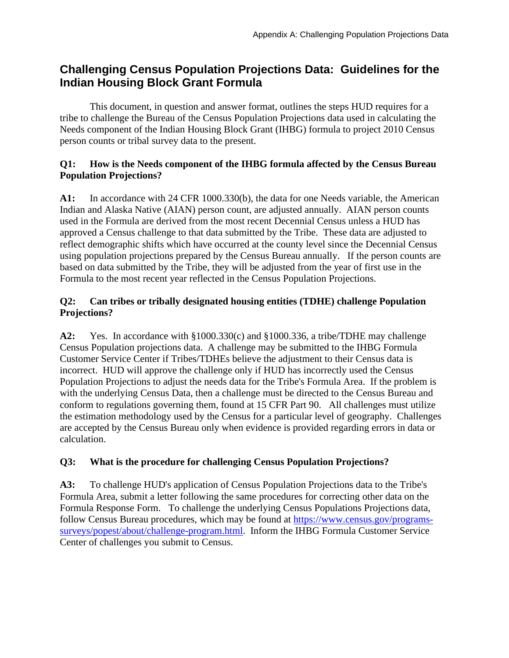## **Challenging Census Population Projections Data: Guidelines for the Indian Housing Block Grant Formula**

This document, in question and answer format, outlines the steps HUD requires for a tribe to challenge the Bureau of the Census Population Projections data used in calculating the Needs component of the Indian Housing Block Grant (IHBG) formula to project 2010 Census person counts or tribal survey data to the present.

## **Q1: How is the Needs component of the IHBG formula affected by the Census Bureau Population Projections?**

**A1:** In accordance with 24 CFR 1000.330(b), the data for one Needs variable, the American Indian and Alaska Native (AIAN) person count, are adjusted annually. AIAN person counts used in the Formula are derived from the most recent Decennial Census unless a HUD has approved a Census challenge to that data submitted by the Tribe. These data are adjusted to reflect demographic shifts which have occurred at the county level since the Decennial Census using population projections prepared by the Census Bureau annually. If the person counts are based on data submitted by the Tribe, they will be adjusted from the year of first use in the Formula to the most recent year reflected in the Census Population Projections.

## **Q2: Can tribes or tribally designated housing entities (TDHE) challenge Population Projections?**

**A2:** Yes. In accordance with §1000.330(c) and §1000.336, a tribe/TDHE may challenge Census Population projections data. A challenge may be submitted to the IHBG Formula Customer Service Center if Tribes/TDHEs believe the adjustment to their Census data is incorrect. HUD will approve the challenge only if HUD has incorrectly used the Census Population Projections to adjust the needs data for the Tribe's Formula Area. If the problem is with the underlying Census Data, then a challenge must be directed to the Census Bureau and conform to regulations governing them, found at 15 CFR Part 90. All challenges must utilize the estimation methodology used by the Census for a particular level of geography. Challenges are accepted by the Census Bureau only when evidence is provided regarding errors in data or calculation.

## **Q3: What is the procedure for challenging Census Population Projections?**

**A3:** To challenge HUD's application of Census Population Projections data to the Tribe's Formula Area, submit a letter following the same procedures for correcting other data on the Formula Response Form. To challenge the underlying Census Populations Projections data, follow Census Bureau procedures, which may be found at https://www.census.gov/programssurveys/popest/about/challenge-program.html. Inform the IHBG Formula Customer Service Center of challenges you submit to Census.